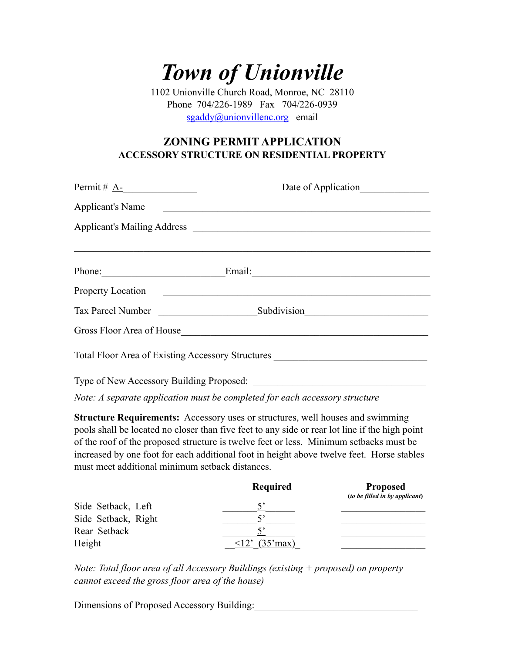## *Town of Unionville*

1102 Unionville Church Road, Monroe, NC 28110 Phone 704/226-1989 Fax 704/226-0939 [sgaddy@unionvillenc.org](mailto:sgaddy@unionvillenc.org) email

## **ZONING PERMIT APPLICATION ACCESSORY STRUCTURE ON RESIDENTIAL PROPERTY**

| Permit # $\underline{A}$ -               | Date of Application                                                              |  |
|------------------------------------------|----------------------------------------------------------------------------------|--|
| Applicant's Name                         |                                                                                  |  |
|                                          |                                                                                  |  |
| Phone:                                   |                                                                                  |  |
| <b>Property Location</b>                 |                                                                                  |  |
|                                          |                                                                                  |  |
|                                          |                                                                                  |  |
|                                          | Total Floor Area of Existing Accessory Structures ______________________________ |  |
| Type of New Accessory Building Proposed: |                                                                                  |  |

*Note: A separate application must be completed for each accessory structure* 

**Structure Requirements:** Accessory uses or structures, well houses and swimming pools shall be located no closer than five feet to any side or rear lot line if the high point of the roof of the proposed structure is twelve feet or less. Minimum setbacks must be increased by one foot for each additional foot in height above twelve feet. Horse stables must meet additional minimum setback distances.

|                     | Required                        | <b>Proposed</b><br>(to be filled in by applicant) |
|---------------------|---------------------------------|---------------------------------------------------|
| Side Setback, Left  |                                 |                                                   |
| Side Setback, Right |                                 |                                                   |
| Rear Setback        |                                 |                                                   |
| Height              | $\langle 12' (35' max) \rangle$ |                                                   |

*Note: Total floor area of all Accessory Buildings (existing + proposed) on property cannot exceed the gross floor area of the house)* 

Dimensions of Proposed Accessory Building: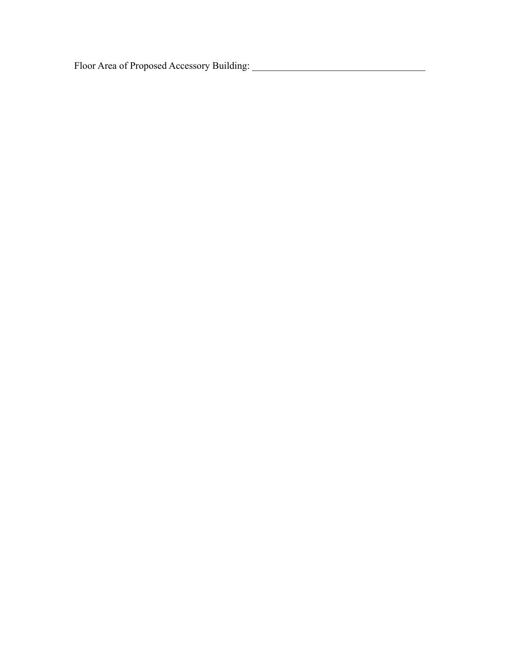Floor Area of Proposed Accessory Building: \_\_\_\_\_\_\_\_\_\_\_\_\_\_\_\_\_\_\_\_\_\_\_\_\_\_\_\_\_\_\_\_\_\_\_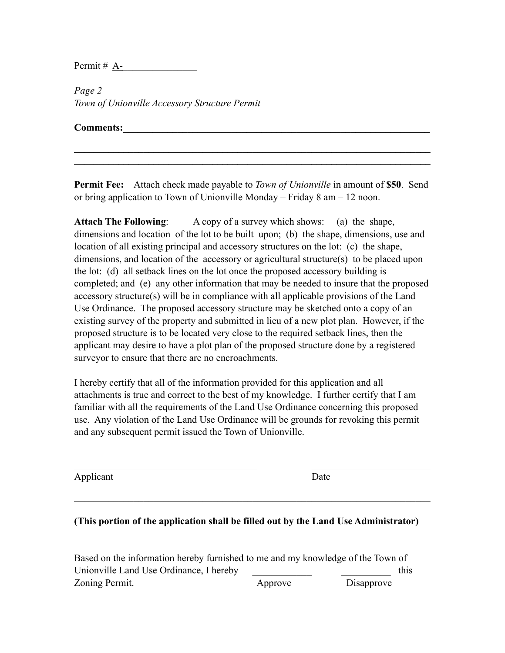Permit  $\#$  A-

*Page 2 Town of Unionville Accessory Structure Permit* 

**Comments:** 

**Permit Fee:** Attach check made payable to *Town of Unionville* in amount of **\$50**. Send or bring application to Town of Unionville Monday – Friday 8 am – 12 noon.

 $\mathcal{L}_\mathcal{L} = \{ \mathcal{L}_\mathcal{L} = \{ \mathcal{L}_\mathcal{L} = \{ \mathcal{L}_\mathcal{L} = \{ \mathcal{L}_\mathcal{L} = \{ \mathcal{L}_\mathcal{L} = \{ \mathcal{L}_\mathcal{L} = \{ \mathcal{L}_\mathcal{L} = \{ \mathcal{L}_\mathcal{L} = \{ \mathcal{L}_\mathcal{L} = \{ \mathcal{L}_\mathcal{L} = \{ \mathcal{L}_\mathcal{L} = \{ \mathcal{L}_\mathcal{L} = \{ \mathcal{L}_\mathcal{L} = \{ \mathcal{L}_\mathcal{$  $\mathcal{L}_\mathcal{L} = \{ \mathcal{L}_\mathcal{L} = \{ \mathcal{L}_\mathcal{L} = \{ \mathcal{L}_\mathcal{L} = \{ \mathcal{L}_\mathcal{L} = \{ \mathcal{L}_\mathcal{L} = \{ \mathcal{L}_\mathcal{L} = \{ \mathcal{L}_\mathcal{L} = \{ \mathcal{L}_\mathcal{L} = \{ \mathcal{L}_\mathcal{L} = \{ \mathcal{L}_\mathcal{L} = \{ \mathcal{L}_\mathcal{L} = \{ \mathcal{L}_\mathcal{L} = \{ \mathcal{L}_\mathcal{L} = \{ \mathcal{L}_\mathcal{$ 

Attach The Following: A copy of a survey which shows: (a) the shape, dimensions and location of the lot to be built upon; (b) the shape, dimensions, use and location of all existing principal and accessory structures on the lot: (c) the shape, dimensions, and location of the accessory or agricultural structure(s) to be placed upon the lot: (d) all setback lines on the lot once the proposed accessory building is completed; and (e) any other information that may be needed to insure that the proposed accessory structure(s) will be in compliance with all applicable provisions of the Land Use Ordinance. The proposed accessory structure may be sketched onto a copy of an existing survey of the property and submitted in lieu of a new plot plan. However, if the proposed structure is to be located very close to the required setback lines, then the applicant may desire to have a plot plan of the proposed structure done by a registered surveyor to ensure that there are no encroachments.

I hereby certify that all of the information provided for this application and all attachments is true and correct to the best of my knowledge. I further certify that I am familiar with all the requirements of the Land Use Ordinance concerning this proposed use. Any violation of the Land Use Ordinance will be grounds for revoking this permit and any subsequent permit issued the Town of Unionville.

 $\mathcal{L}_\text{max}$  and the contract of the contract of the contract of the contract of the contract of the contract of

 $\mathcal{L}_\text{max} = \mathcal{L}_\text{max} = \mathcal{L}_\text{max} = \mathcal{L}_\text{max} = \mathcal{L}_\text{max} = \mathcal{L}_\text{max} = \mathcal{L}_\text{max} = \mathcal{L}_\text{max} = \mathcal{L}_\text{max} = \mathcal{L}_\text{max} = \mathcal{L}_\text{max} = \mathcal{L}_\text{max} = \mathcal{L}_\text{max} = \mathcal{L}_\text{max} = \mathcal{L}_\text{max} = \mathcal{L}_\text{max} = \mathcal{L}_\text{max} = \mathcal{L}_\text{max} = \mathcal{$ 

Applicant Date

## **(This portion of the application shall be filled out by the Land Use Administrator)**

Based on the information hereby furnished to me and my knowledge of the Town of Unionville Land Use Ordinance, I hereby this this contains the state of the state of the state of the state of this contains the state of the state of the state of the state of the state of the state of the state of the st Zoning Permit. Approve Disapprove